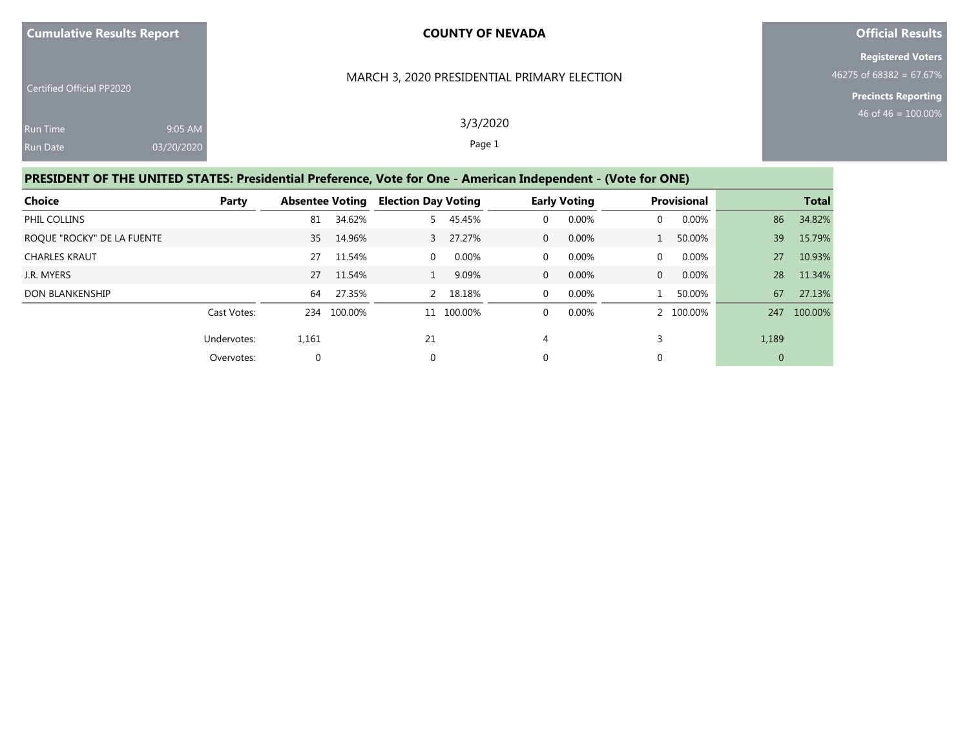### MARCH 3, 2020 PRESIDENTIAL PRIMARY ELECTION

**Official Results**

**Registered Voters** 46275 of 68382 = 67.67%

**Precincts Reporting**

| <b>Run Time</b> | 9:05 AM    |
|-----------------|------------|
| <b>Run Date</b> | 03/20/2020 |

Certified Official PP2020

3/3/2020 Page 1

## **PRESIDENT OF THE UNITED STATES: Presidential Preference, Vote for One - American Independent - (Vote for ONE)**

| <b>Choice</b>              | <b>Party</b> | <b>Absentee Voting</b> |         | <b>Election Day Voting</b> |          |                | <b>Early Voting</b> |                | <b>Provisional</b> |                | <b>Total</b> |
|----------------------------|--------------|------------------------|---------|----------------------------|----------|----------------|---------------------|----------------|--------------------|----------------|--------------|
| PHIL COLLINS               |              | 81                     | 34.62%  |                            | 5 45.45% | 0              | 0.00%               | $\Omega$       | 0.00%              | 86             | 34.82%       |
| ROQUE "ROCKY" DE LA FUENTE |              | 35                     | 14.96%  |                            | 3 27.27% | $\overline{0}$ | 0.00%               |                | 50.00%             | 39             | 15.79%       |
| <b>CHARLES KRAUT</b>       |              | 27                     | 11.54%  | $\Omega$                   | 0.00%    | $\mathbf{0}$   | 0.00%               | $\mathbf 0$    | 0.00%              | 27             | 10.93%       |
| J.R. MYERS                 |              | 27                     | 11.54%  |                            | 9.09%    | $\overline{0}$ | 0.00%               | $\overline{0}$ | 0.00%              | 28             | 11.34%       |
| <b>DON BLANKENSHIP</b>     |              | 64                     | 27.35%  |                            | 2 18.18% | $\mathbf{0}$   | 0.00%               |                | 50.00%             | 67             | 27.13%       |
|                            | Cast Votes:  | 234                    | 100.00% | 11                         | 100.00%  | $\Omega$       | 0.00%               |                | 2 100.00%          |                | 247 100.00%  |
|                            | Undervotes:  | 1,161                  |         | 21                         |          | 4              |                     |                |                    | 1,189          |              |
|                            | Overvotes:   | $\mathbf{0}$           |         | $\mathbf 0$                |          | 0              |                     | 0              |                    | $\overline{0}$ |              |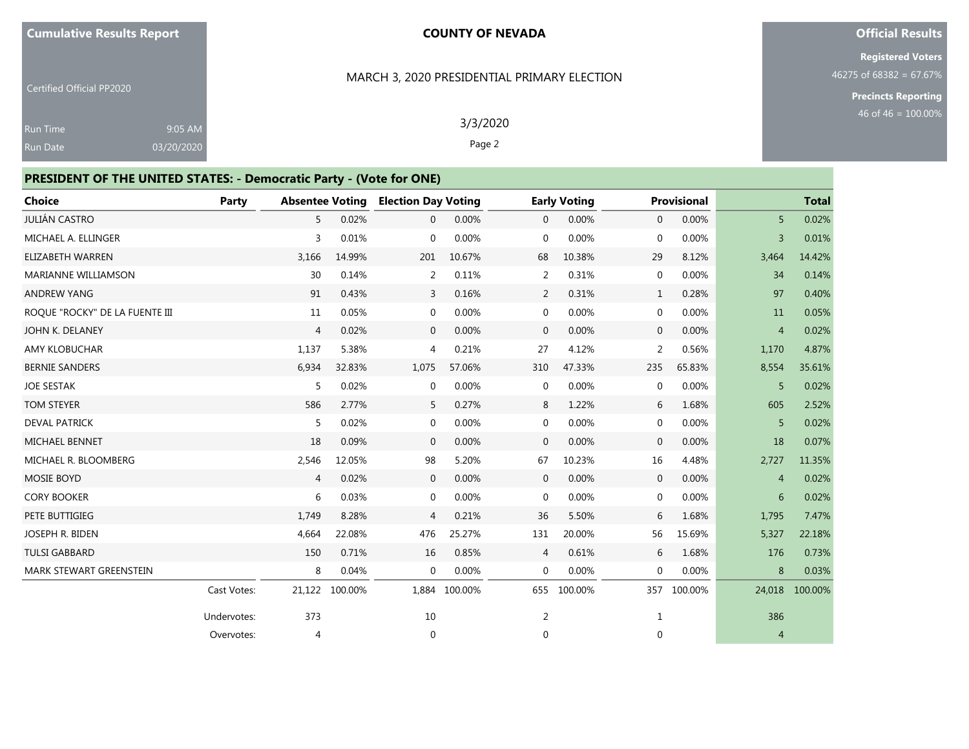MARCH 3, 2020 PRESIDENTIAL PRIMARY ELECTION

## **Official Results**

**Registered Voters** 46275 of 68382 = 67.67%

**Precincts Reporting**

| <b>Certified Official PP2020</b> |  |  |
|----------------------------------|--|--|
|                                  |  |  |
|                                  |  |  |

9:05 AM 03/20/2020 3/3/2020

Page 2

## **PRESIDENT OF THE UNITED STATES: - Democratic Party - (Vote for ONE)**

| <b>Choice</b>                  | <b>Party</b> | <b>Absentee Voting</b> |         | <b>Election Day Voting</b> |               |                | <b>Early Voting</b> |                | <b>Provisional</b> |                | <b>Total</b> |
|--------------------------------|--------------|------------------------|---------|----------------------------|---------------|----------------|---------------------|----------------|--------------------|----------------|--------------|
| JULIÁN CASTRO                  |              | 5                      | 0.02%   | $\mathbf{0}$               | 0.00%         | $\overline{0}$ | 0.00%               | $\mathbf{0}$   | 0.00%              | 5              | 0.02%        |
| MICHAEL A. ELLINGER            |              | 3                      | 0.01%   | $\mathbf 0$                | 0.00%         | $\mathbf{0}$   | 0.00%               | $\mathbf{0}$   | 0.00%              | $\overline{3}$ | 0.01%        |
| <b>ELIZABETH WARREN</b>        |              | 3,166                  | 14.99%  | 201                        | 10.67%        | 68             | 10.38%              | 29             | 8.12%              | 3,464          | 14.42%       |
| <b>MARIANNE WILLIAMSON</b>     |              | 30                     | 0.14%   | 2                          | 0.11%         | 2              | 0.31%               | $\mathbf 0$    | 0.00%              | 34             | 0.14%        |
| <b>ANDREW YANG</b>             |              | 91                     | 0.43%   | 3                          | 0.16%         | $\overline{2}$ | 0.31%               | 1              | 0.28%              | 97             | 0.40%        |
| ROQUE "ROCKY" DE LA FUENTE III |              | 11                     | 0.05%   | $\mathbf 0$                | 0.00%         | 0              | 0.00%               | $\mathbf 0$    | 0.00%              | 11             | 0.05%        |
| JOHN K. DELANEY                |              | $\overline{4}$         | 0.02%   | $\mathbf{0}$               | 0.00%         | $\overline{0}$ | 0.00%               | $\overline{0}$ | 0.00%              | $\overline{4}$ | 0.02%        |
| <b>AMY KLOBUCHAR</b>           |              | 1,137                  | 5.38%   | $\overline{4}$             | 0.21%         | 27             | 4.12%               | 2              | 0.56%              | 1,170          | 4.87%        |
| <b>BERNIE SANDERS</b>          |              | 6,934                  | 32.83%  | 1,075                      | 57.06%        | 310            | 47.33%              | 235            | 65.83%             | 8,554          | 35.61%       |
| <b>JOE SESTAK</b>              |              | 5                      | 0.02%   | $\mathbf 0$                | 0.00%         | 0              | 0.00%               | $\mathbf{0}$   | 0.00%              | 5              | 0.02%        |
| <b>TOM STEYER</b>              |              | 586                    | 2.77%   | 5                          | 0.27%         | 8              | 1.22%               | 6              | 1.68%              | 605            | 2.52%        |
| <b>DEVAL PATRICK</b>           |              | 5                      | 0.02%   | $\mathbf 0$                | 0.00%         | 0              | 0.00%               | $\mathbf 0$    | 0.00%              | 5              | 0.02%        |
| <b>MICHAEL BENNET</b>          |              | 18                     | 0.09%   | $\mathbf{0}$               | 0.00%         | $\overline{0}$ | 0.00%               | $\mathbf{0}$   | 0.00%              | 18             | 0.07%        |
| MICHAEL R. BLOOMBERG           |              | 2,546                  | 12.05%  | 98                         | 5.20%         | 67             | 10.23%              | 16             | 4.48%              | 2,727          | 11.35%       |
| <b>MOSIE BOYD</b>              |              | $\overline{4}$         | 0.02%   | $\mathbf{0}$               | 0.00%         | $\overline{0}$ | 0.00%               | $\mathbf 0$    | 0.00%              | $\overline{4}$ | 0.02%        |
| <b>CORY BOOKER</b>             |              | 6                      | 0.03%   | $\mathbf 0$                | 0.00%         | 0              | 0.00%               | $\mathbf 0$    | 0.00%              | 6              | 0.02%        |
| PETE BUTTIGIEG                 |              | 1,749                  | 8.28%   | $\overline{4}$             | 0.21%         | 36             | 5.50%               | 6              | 1.68%              | 1,795          | 7.47%        |
| <b>JOSEPH R. BIDEN</b>         |              | 4,664                  | 22.08%  | 476                        | 25.27%        | 131            | 20.00%              | 56             | 15.69%             | 5,327          | 22.18%       |
| <b>TULSI GABBARD</b>           |              | 150                    | 0.71%   | 16                         | 0.85%         | 4              | 0.61%               | 6              | 1.68%              | 176            | 0.73%        |
| MARK STEWART GREENSTEIN        |              | 8                      | 0.04%   | $\mathbf 0$                | 0.00%         | $\mathbf{0}$   | 0.00%               | 0              | 0.00%              | 8              | 0.03%        |
|                                | Cast Votes:  | 21,122                 | 100.00% |                            | 1.884 100.00% | 655            | 100.00%             | 357            | 100.00%            | 24,018         | 100.00%      |
|                                | Undervotes:  | 373                    |         | 10                         |               | 2              |                     | $\mathbf{1}$   |                    | 386            |              |
|                                | Overvotes:   | $\overline{4}$         |         | $\mathbf 0$                |               | 0              |                     | 0              |                    | $\overline{4}$ |              |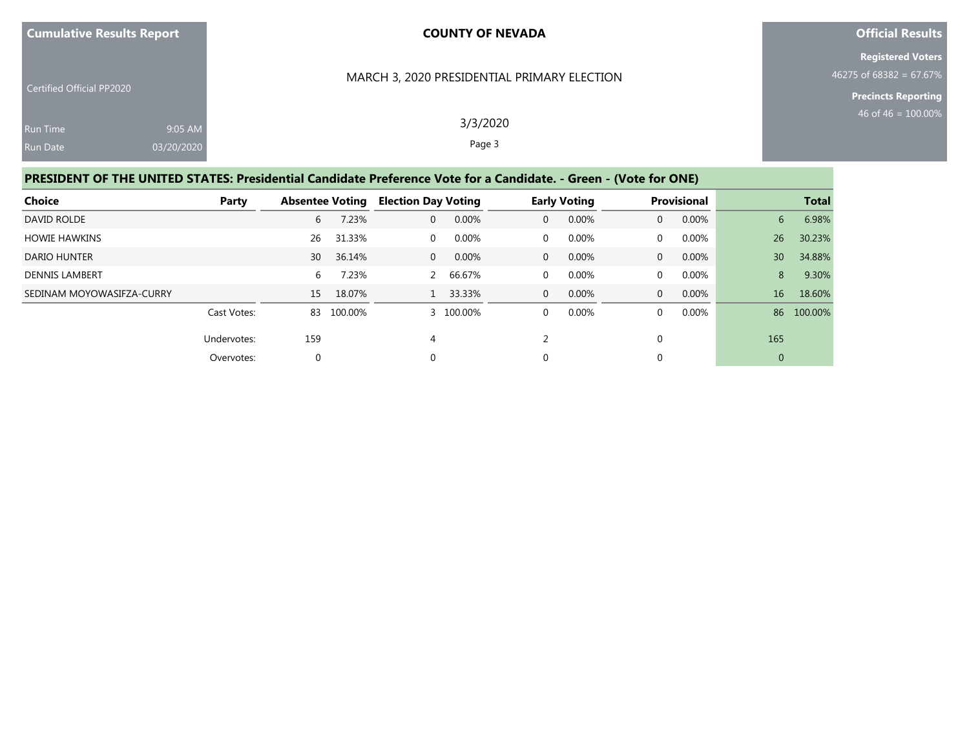#### MARCH 3, 2020 PRESIDENTIAL PRIMARY ELECTION

**Official Results**

**Registered Voters** 46275 of 68382 = 67.67%

**Precincts Reporting**

| <b>Run Time</b> | 9:05 AM    |
|-----------------|------------|
| <b>Run Date</b> | 03/20/2020 |

Certified Official PP2020

3/3/2020 Page 3

# **PRESIDENT OF THE UNITED STATES: Presidential Candidate Preference Vote for a Candidate. - Green - (Vote for ONE)**

| <b>Choice</b>             | Party       | <b>Absentee Voting</b> |         | <b>Election Day Voting</b> |           |          | <b>Early Voting</b> |                | <b>Provisional</b> |                 | <b>Total</b> |
|---------------------------|-------------|------------------------|---------|----------------------------|-----------|----------|---------------------|----------------|--------------------|-----------------|--------------|
| DAVID ROLDE               |             | 6                      | 7.23%   | $\Omega$                   | 0.00%     | 0        | 0.00%               | $\Omega$       | 0.00%              | 6               | 6.98%        |
| <b>HOWIE HAWKINS</b>      |             | 26                     | 31.33%  | $\Omega$                   | 0.00%     | 0        | 0.00%               | 0              | $0.00\%$           | 26              | 30.23%       |
| <b>DARIO HUNTER</b>       |             | 30                     | 36.14%  | $\Omega$                   | 0.00%     | $\Omega$ | 0.00%               | $\Omega$       | $0.00\%$           | 30 <sub>1</sub> | 34.88%       |
| <b>DENNIS LAMBERT</b>     |             | 6                      | 7.23%   |                            | 2 66.67%  | 0        | 0.00%               | 0              | $0.00\%$           | 8               | 9.30%        |
| SEDINAM MOYOWASIFZA-CURRY |             | 15                     | 18.07%  |                            | 33.33%    | 0        | 0.00%               | $\overline{0}$ | 0.00%              | 16              | 18.60%       |
|                           | Cast Votes: | 83                     | 100.00% |                            | 3 100.00% | 0        | 0.00%               | $\Omega$       | $0.00\%$           | 86              | 100.00%      |
|                           | Undervotes: | 159                    |         | 4                          |           |          |                     | 0              |                    | 165             |              |
|                           | Overvotes:  | 0                      |         | $\Omega$                   |           | 0        |                     | 0              |                    | $\overline{0}$  |              |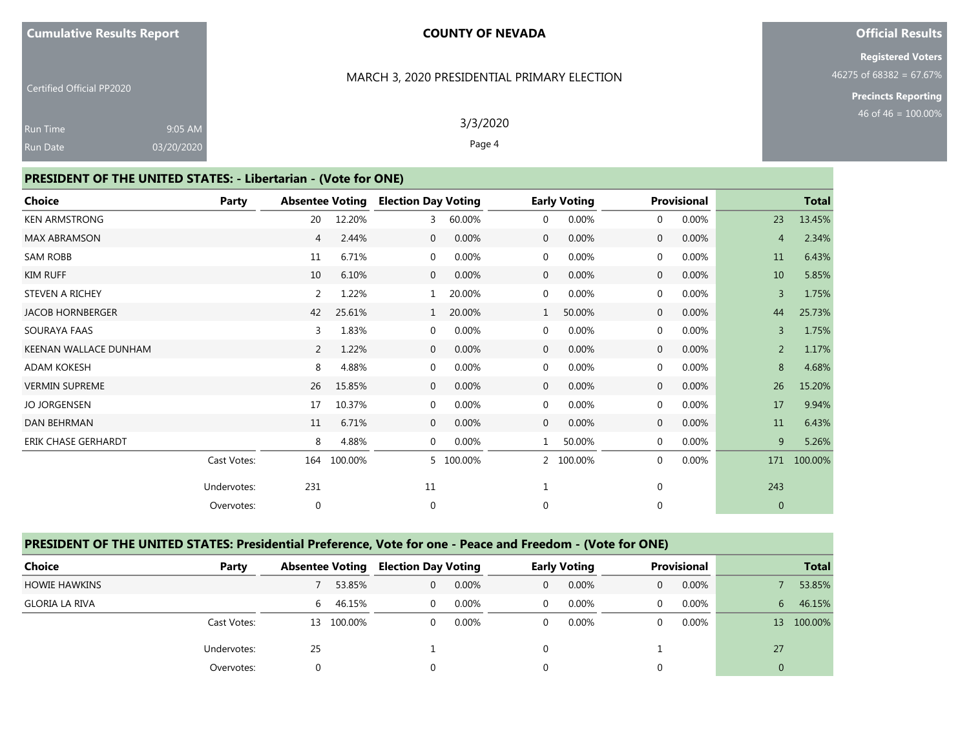MARCH 3, 2020 PRESIDENTIAL PRIMARY ELECTION

### **Official Results**

**Registered Voters** 46275 of 68382 = 67.67%

**Precincts Reporting**

| Gertified Official PP2020 |  |  |
|---------------------------|--|--|
|                           |  |  |
|                           |  |  |

Run Date

9:05 AM 03/20/2020 3/3/2020

Page 4

# **PRESIDENT OF THE UNITED STATES: - Libertarian - (Vote for ONE)**

| <b>Choice</b>              | Party       |     |         |              | <b>Absentee Voting Election Day Voting</b> |                | <b>Early Voting</b> |              | <b>Provisional</b> |                | <b>Total</b> |
|----------------------------|-------------|-----|---------|--------------|--------------------------------------------|----------------|---------------------|--------------|--------------------|----------------|--------------|
| <b>KEN ARMSTRONG</b>       |             | 20  | 12.20%  | 3            | 60.00%                                     | 0              | 0.00%               | $\mathbf{0}$ | 0.00%              | 23             | 13.45%       |
| <b>MAX ABRAMSON</b>        |             | 4   | 2.44%   | $\mathbf 0$  | 0.00%                                      | $\mathbf{0}$   | 0.00%               | $\mathbf 0$  | 0.00%              | $\overline{4}$ | 2.34%        |
| <b>SAM ROBB</b>            |             | 11  | 6.71%   | $\mathbf 0$  | 0.00%                                      | 0              | 0.00%               | $\mathbf 0$  | 0.00%              | 11             | 6.43%        |
| <b>KIM RUFF</b>            |             | 10  | 6.10%   | $\mathbf 0$  | 0.00%                                      | $\overline{0}$ | 0.00%               | $\mathbf 0$  | 0.00%              | 10             | 5.85%        |
| STEVEN A RICHEY            |             | 2   | 1.22%   | $\mathbf{1}$ | 20.00%                                     | 0              | 0.00%               | 0            | 0.00%              | $\overline{3}$ | 1.75%        |
| <b>JACOB HORNBERGER</b>    |             | 42  | 25.61%  | $\mathbf{1}$ | 20.00%                                     | $\mathbf{1}$   | 50.00%              | $\mathbf 0$  | 0.00%              | 44             | 25.73%       |
| SOURAYA FAAS               |             | 3   | 1.83%   | $\mathbf{0}$ | 0.00%                                      | 0              | 0.00%               | $\mathbf{0}$ | 0.00%              | $\overline{3}$ | 1.75%        |
| KEENAN WALLACE DUNHAM      |             | 2   | 1.22%   | $\mathbf 0$  | 0.00%                                      | $\mathbf{0}$   | 0.00%               | $\mathbf 0$  | 0.00%              | $\overline{2}$ | 1.17%        |
| <b>ADAM KOKESH</b>         |             | 8   | 4.88%   | $\mathbf 0$  | 0.00%                                      | 0              | 0.00%               | 0            | 0.00%              | 8              | 4.68%        |
| <b>VERMIN SUPREME</b>      |             | 26  | 15.85%  | $\mathbf 0$  | 0.00%                                      | $\mathbf{0}$   | 0.00%               | $\mathbf 0$  | 0.00%              | 26             | 15.20%       |
| <b>JO JORGENSEN</b>        |             | 17  | 10.37%  | $\mathbf{0}$ | 0.00%                                      | 0              | 0.00%               | $\mathbf{0}$ | 0.00%              | 17             | 9.94%        |
| <b>DAN BEHRMAN</b>         |             | 11  | 6.71%   | $\mathbf{0}$ | 0.00%                                      | $\mathbf{0}$   | 0.00%               | $\mathbf 0$  | 0.00%              | 11             | 6.43%        |
| <b>ERIK CHASE GERHARDT</b> |             | 8   | 4.88%   | $\mathbf{0}$ | 0.00%                                      | $\mathbf{1}$   | 50.00%              | $\mathbf 0$  | 0.00%              | 9              | 5.26%        |
|                            | Cast Votes: | 164 | 100.00% |              | 5 100.00%                                  | $\overline{2}$ | 100.00%             | 0            | 0.00%              | 171            | 100.00%      |
|                            | Undervotes: | 231 |         | 11           |                                            |                |                     | $\mathbf 0$  |                    | 243            |              |
|                            | Overvotes:  | 0   |         | $\mathbf 0$  |                                            | 0              |                     | 0            |                    | $\mathbf{0}$   |              |

## **PRESIDENT OF THE UNITED STATES: Presidential Preference, Vote for one - Peace and Freedom - (Vote for ONE)**

| Choice                | Party       | <b>Absentee Voting</b> |         | <b>Election Day Voting</b> |       |              | <b>Early Voting</b> | <b>Provisional</b> |    | <b>Total</b> |
|-----------------------|-------------|------------------------|---------|----------------------------|-------|--------------|---------------------|--------------------|----|--------------|
| <b>HOWIE HAWKINS</b>  |             |                        | 53.85%  | 0                          | 0.00% | $\mathbf{0}$ | 0.00%               | 0.00%              |    | 53.85%       |
| <b>GLORIA LA RIVA</b> |             | 6                      | 46.15%  | $\Omega$                   | 0.00% | $\Omega$     | 0.00%               | $0.00\%$           | 6  | 46.15%       |
|                       | Cast Votes: | 13                     | 100.00% |                            | 0.00% |              | 0.00%               | $0.00\%$           |    | 13 100.00%   |
|                       | Undervotes: | 25                     |         |                            |       |              |                     |                    | 27 |              |
|                       | Overvotes:  |                        |         |                            |       |              |                     |                    | 0  |              |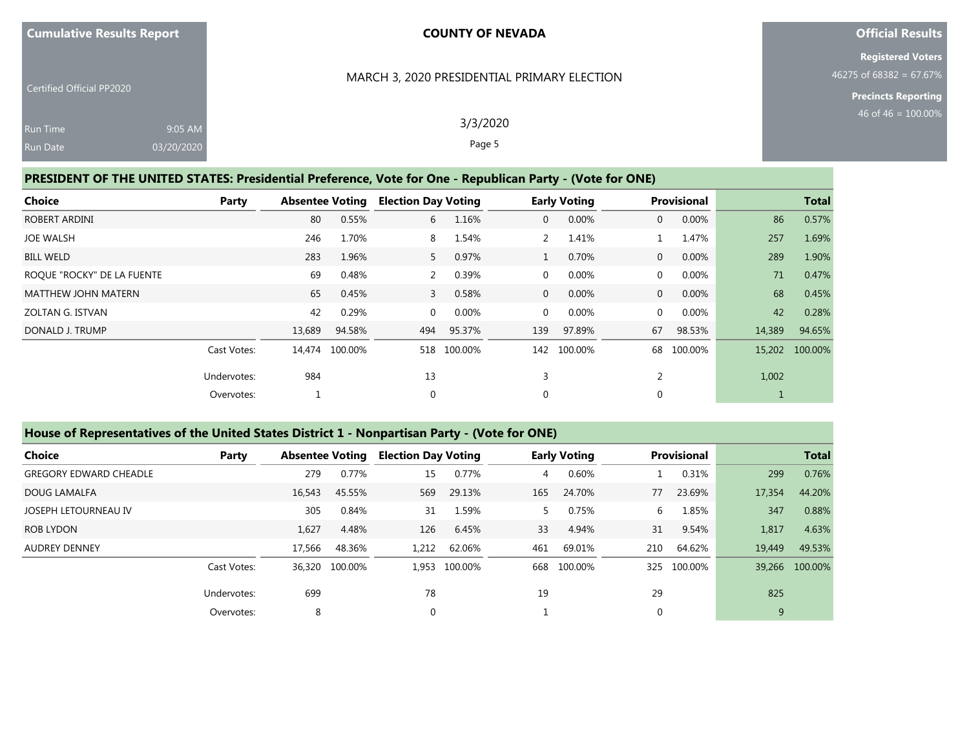### MARCH 3, 2020 PRESIDENTIAL PRIMARY ELECTION

**Official Results**

**Registered Voters** 46275 of 68382 = 67.67%

> **Precincts Reporting** 46 of 46 = 100.00%

| <b>Run Time</b> |  |  |
|-----------------|--|--|
| <b>Run Date</b> |  |  |

9:05 AM 03/20/2020

Certified Official PP2020

3/3/2020 Page 5

## **PRESIDENT OF THE UNITED STATES: Presidential Preference, Vote for One - Republican Party - (Vote for ONE)**

| <b>Choice</b>              | Party       | <b>Absentee Voting</b> |                | <b>Election Day Voting</b> |             |                | <b>Early Voting</b> |                | <b>Provisional</b> |        | <b>Total</b> |
|----------------------------|-------------|------------------------|----------------|----------------------------|-------------|----------------|---------------------|----------------|--------------------|--------|--------------|
| ROBERT ARDINI              |             | 80                     | 0.55%          | 6                          | 1.16%       | $\overline{0}$ | 0.00%               | $\overline{0}$ | 0.00%              | 86     | 0.57%        |
| <b>JOE WALSH</b>           |             | 246                    | 1.70%          | 8                          | 1.54%       |                | 1.41%               |                | 1.47%              | 257    | 1.69%        |
| <b>BILL WELD</b>           |             | 283                    | 1.96%          | 5 <sup>5</sup>             | 0.97%       |                | 0.70%               | $\overline{0}$ | 0.00%              | 289    | 1.90%        |
| ROQUE "ROCKY" DE LA FUENTE |             | 69                     | 0.48%          | 2                          | 0.39%       | 0              | 0.00%               | $\mathbf 0$    | 0.00%              | 71     | 0.47%        |
| <b>MATTHEW JOHN MATERN</b> |             | 65                     | 0.45%          | $\overline{3}$             | 0.58%       | $\overline{0}$ | 0.00%               | $\overline{0}$ | 0.00%              | 68     | 0.45%        |
| <b>ZOLTAN G. ISTVAN</b>    |             | 42                     | 0.29%          | $\Omega$                   | 0.00%       | $\mathbf{0}$   | 0.00%               | $\mathbf 0$    | $0.00\%$           | 42     | 0.28%        |
| DONALD J. TRUMP            |             | 13,689                 | 94.58%         | 494                        | 95.37%      | 139            | 97.89%              | 67             | 98.53%             | 14,389 | 94.65%       |
|                            | Cast Votes: |                        | 14,474 100.00% |                            | 518 100.00% | 142            | 100.00%             | 68             | 100.00%            | 15,202 | 100.00%      |
|                            | Undervotes: | 984                    |                | 13                         |             | 3              |                     | 2              |                    | 1,002  |              |
|                            | Overvotes:  |                        |                | 0                          |             | $\mathbf{0}$   |                     | $\mathbf 0$    |                    |        |              |

#### **House of Representatives of the United States District 1 - Nonpartisan Party - (Vote for ONE)**

| Choice                        | Party       | <b>Absentee Voting</b> |                | <b>Election Day Voting</b> |               |     | <b>Early Voting</b> |          | Provisional |        | <b>Total</b>   |
|-------------------------------|-------------|------------------------|----------------|----------------------------|---------------|-----|---------------------|----------|-------------|--------|----------------|
| <b>GREGORY EDWARD CHEADLE</b> |             | 279                    | 0.77%          | 15                         | 0.77%         | 4   | 0.60%               |          | 0.31%       | 299    | 0.76%          |
| DOUG LAMALFA                  |             | 16,543                 | 45.55%         | 569                        | 29.13%        | 165 | 24.70%              | 77       | 23.69%      | 17,354 | 44.20%         |
| JOSEPH LETOURNEAU IV          |             | 305                    | 0.84%          | 31                         | 1.59%         | 5.  | 0.75%               | 6        | 1.85%       | 347    | 0.88%          |
| ROB LYDON                     |             | 1,627                  | 4.48%          | 126                        | 6.45%         | 33  | 4.94%               | 31       | 9.54%       | 1,817  | 4.63%          |
| <b>AUDREY DENNEY</b>          |             | 17,566                 | 48.36%         | 1.212                      | 62.06%        | 461 | 69.01%              | 210      | 64.62%      | 19,449 | 49.53%         |
|                               | Cast Votes: |                        | 36.320 100.00% |                            | 1.953 100.00% | 668 | 100.00%             |          | 325 100.00% |        | 39,266 100.00% |
|                               | Undervotes: | 699                    |                | 78                         |               | 19  |                     | 29       |             | 825    |                |
|                               | Overvotes:  | 8                      |                |                            |               |     |                     | $\Omega$ |             | 9      |                |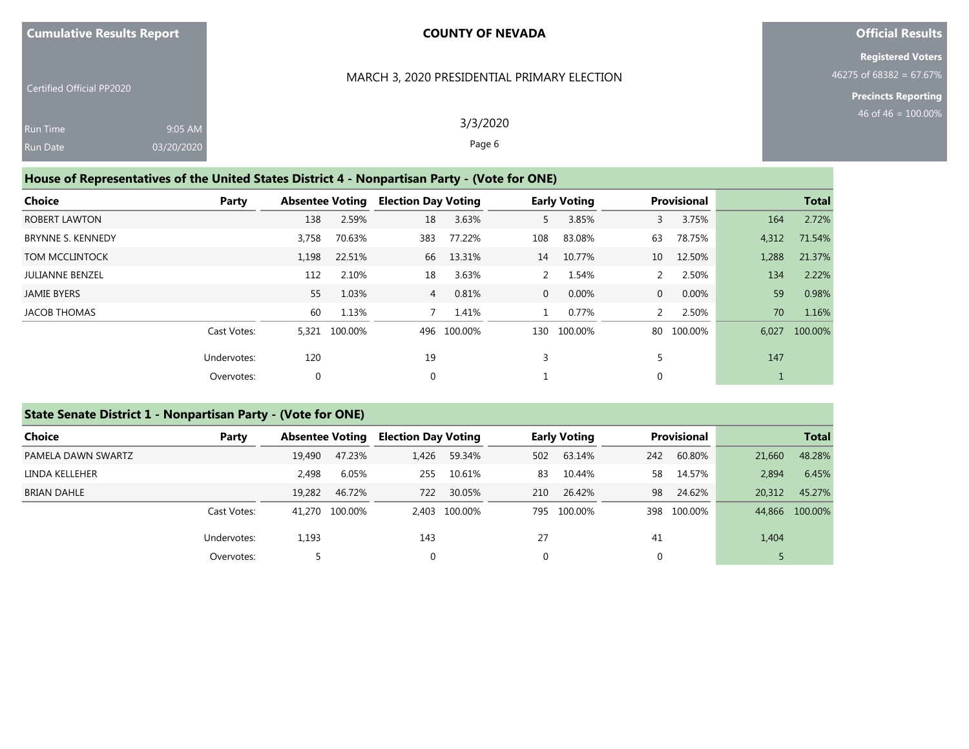#### MARCH 3, 2020 PRESIDENTIAL PRIMARY ELECTION

**Official Results**

**Registered Voters** 46275 of 68382 = 67.67%

> **Precincts Reporting** 46 of 46 = 100.00%

| <b>Run Time</b> | $9:05$ AM  |
|-----------------|------------|
| <b>Run Date</b> | 03/20/2020 |

Certified Official PP2020

3/3/2020 Page 6

## **House of Representatives of the United States District 4 - Nonpartisan Party - (Vote for ONE)**

| Choice                   | Party       |       | <b>Absentee Voting</b> |                | <b>Election Day Voting</b> |                | <b>Early Voting</b> | <b>Provisional</b> |            |       | <b>Total</b> |
|--------------------------|-------------|-------|------------------------|----------------|----------------------------|----------------|---------------------|--------------------|------------|-------|--------------|
| <b>ROBERT LAWTON</b>     |             | 138   | 2.59%                  | 18             | 3.63%                      | 5              | 3.85%               | $\mathbf{3}$       | 3.75%      | 164   | 2.72%        |
| <b>BRYNNE S. KENNEDY</b> |             | 3,758 | 70.63%                 | 383            | 77.22%                     | 108            | 83.08%              | 63                 | 78.75%     | 4,312 | 71.54%       |
| <b>TOM MCCLINTOCK</b>    |             | 1,198 | 22.51%                 | 66             | 13.31%                     | 14             | 10.77%              | 10 <sup>°</sup>    | 12.50%     | 1,288 | 21.37%       |
| <b>JULIANNE BENZEL</b>   |             | 112   | 2.10%                  | 18             | 3.63%                      |                | 1.54%               | 2                  | 2.50%      | 134   | 2.22%        |
| <b>JAMIE BYERS</b>       |             | 55    | 1.03%                  | $\overline{4}$ | 0.81%                      | $\overline{0}$ | 0.00%               | $\overline{0}$     | 0.00%      | 59    | 0.98%        |
| <b>JACOB THOMAS</b>      |             | 60    | 1.13%                  |                | 1.41%                      |                | 0.77%               | $\mathcal{P}$      | 2.50%      | 70    | 1.16%        |
|                          | Cast Votes: | 5,321 | 100.00%                |                | 496 100.00%                | 130            | 100.00%             |                    | 80 100.00% | 6.027 | 100.00%      |
|                          | Undervotes: | 120   |                        | 19             |                            | 3              |                     |                    |            | 147   |              |
|                          | Overvotes:  | 0     |                        | $\mathbf{0}$   |                            |                |                     | $\mathbf 0$        |            |       |              |

## **State Senate District 1 - Nonpartisan Party - (Vote for ONE)**

| Choice             | Party       |        | <b>Absentee Voting</b> |       | <b>Election Day Voting</b> |     | <b>Early Voting</b> |     | <b>Provisional</b> |        | <b>Total</b>   |  |
|--------------------|-------------|--------|------------------------|-------|----------------------------|-----|---------------------|-----|--------------------|--------|----------------|--|
| PAMELA DAWN SWARTZ |             | 19,490 | 47.23%                 | 1.426 | 59.34%                     | 502 | 63.14%              | 242 | 60.80%             | 21,660 | 48.28%         |  |
| LINDA KELLEHER     |             | 2.498  | 6.05%                  | 255   | 10.61%                     | 83  | 10.44%              | 58  | 14.57%             | 2,894  | 6.45%          |  |
| <b>BRIAN DAHLE</b> |             | 19,282 | 46.72%                 | 722   | 30.05%                     | 210 | 26.42%              | 98  | 24.62%             | 20,312 | 45.27%         |  |
|                    | Cast Votes: |        | 41.270 100.00%         |       | 2.403 100.00%              | 795 | 100.00%             |     | 398 100.00%        |        | 44,866 100.00% |  |
|                    | Undervotes: | 1,193  |                        | 143   |                            | 27  |                     | 41  |                    | 1,404  |                |  |
|                    | Overvotes:  |        |                        |       |                            | 0   |                     |     |                    |        |                |  |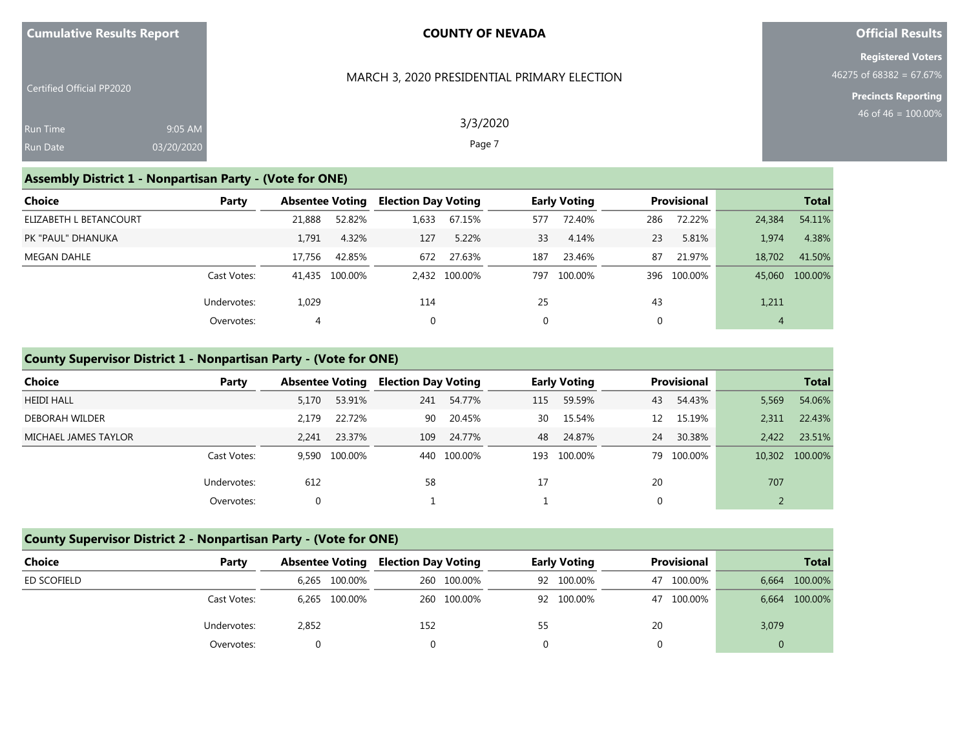| <b>Cumulative Results Report</b> |  |
|----------------------------------|--|
|----------------------------------|--|

#### MARCH 3, 2020 PRESIDENTIAL PRIMARY ELECTION

**Official Results**

**Registered Voters**  $46275$  of  $68382 = 67.67%$ 

**Precincts Reporting**

| Certified Official PP2020 |            |  |
|---------------------------|------------|--|
| Run Time                  | $9:05$ AM  |  |
| <b>Run Date</b>           | 03/20/2020 |  |

3/3/2020 Page 7

## **Assembly District 1 - Nonpartisan Party - (Vote for ONE)**

| Choice                 | Party       |        | <b>Absentee Voting</b> |       | <b>Election Day Voting</b> |     | <b>Early Voting</b> |             | <b>Provisional</b> | <b>Total</b> |                |
|------------------------|-------------|--------|------------------------|-------|----------------------------|-----|---------------------|-------------|--------------------|--------------|----------------|
| ELIZABETH L BETANCOURT |             | 21,888 | 52.82%                 | 1,633 | 67.15%                     | 577 | 72.40%              | 286         | 72.22%             | 24,384       | 54.11%         |
| PK "PAUL" DHANUKA      |             | 1.791  | 4.32%                  | 127   | 5.22%                      | 33  | 4.14%               | 23          | 5.81%              | 1.974        | 4.38%          |
| MEGAN DAHLE            |             | 17.756 | 42.85%                 | 672   | 27.63%                     | 187 | 23.46%              | 87          | 21.97%             | 18.702       | 41.50%         |
|                        | Cast Votes: |        | 41,435 100.00%         |       | 2.432 100.00%              | 797 | 100.00%             |             | 396 100.00%        |              | 45,060 100.00% |
|                        | Undervotes: | 1,029  |                        | 114   |                            | 25  |                     | 43          |                    | 1,211        |                |
|                        | Overvotes:  | 4      |                        | 0     |                            | 0   |                     | $\mathbf 0$ |                    | 4            |                |

## **County Supervisor District 1 - Nonpartisan Party - (Vote for ONE)**

| Choice                | Party       |       | <b>Absentee Voting</b> |     | <b>Election Day Voting</b> |     | <b>Early Voting</b> | <b>Provisional</b> |            | <b>Total</b> |                |
|-----------------------|-------------|-------|------------------------|-----|----------------------------|-----|---------------------|--------------------|------------|--------------|----------------|
| <b>HEIDI HALL</b>     |             | 5,170 | 53.91%                 | 241 | 54.77%                     | 115 | 59.59%              | 43                 | 54.43%     | 5,569        | 54.06%         |
| <b>DEBORAH WILDER</b> |             | 2.179 | 22.72%                 | 90  | 20.45%                     | 30  | 15.54%              | 12                 | 15.19%     | 2.311        | 22.43%         |
| MICHAEL JAMES TAYLOR  |             | 2.241 | 23.37%                 | 109 | 24.77%                     | 48  | 24.87%              | 24                 | 30.38%     | 2.422        | 23.51%         |
|                       | Cast Votes: |       | 9.590 100.00%          |     | 440 100.00%                | 193 | 100.00%             |                    | 79 100.00% |              | 10,302 100.00% |
|                       | Undervotes: | 612   |                        | 58  |                            | 17  |                     | 20                 |            | 707          |                |
|                       | Overvotes:  |       |                        |     |                            |     |                     |                    |            |              |                |

## **County Supervisor District 2 - Nonpartisan Party - (Vote for ONE)**

| Choice      | Party       | <b>Absentee Voting</b> | <b>Election Day Voting</b> | <b>Early Voting</b> | <b>Provisional</b> | <b>Total</b>  |
|-------------|-------------|------------------------|----------------------------|---------------------|--------------------|---------------|
| ED SCOFIELD |             | 6,265 100.00%          | 260 100.00%                | 92 100.00%          | 47 100.00%         | 6,664 100.00% |
|             | Cast Votes: | 6,265 100.00%          | 260 100.00%                | 92 100.00%          | 47 100.00%         | 6,664 100.00% |
|             | Undervotes: | 2,852                  | 152                        | 55                  | 20                 | 3,079         |
|             | Overvotes:  |                        |                            |                     |                    | 0             |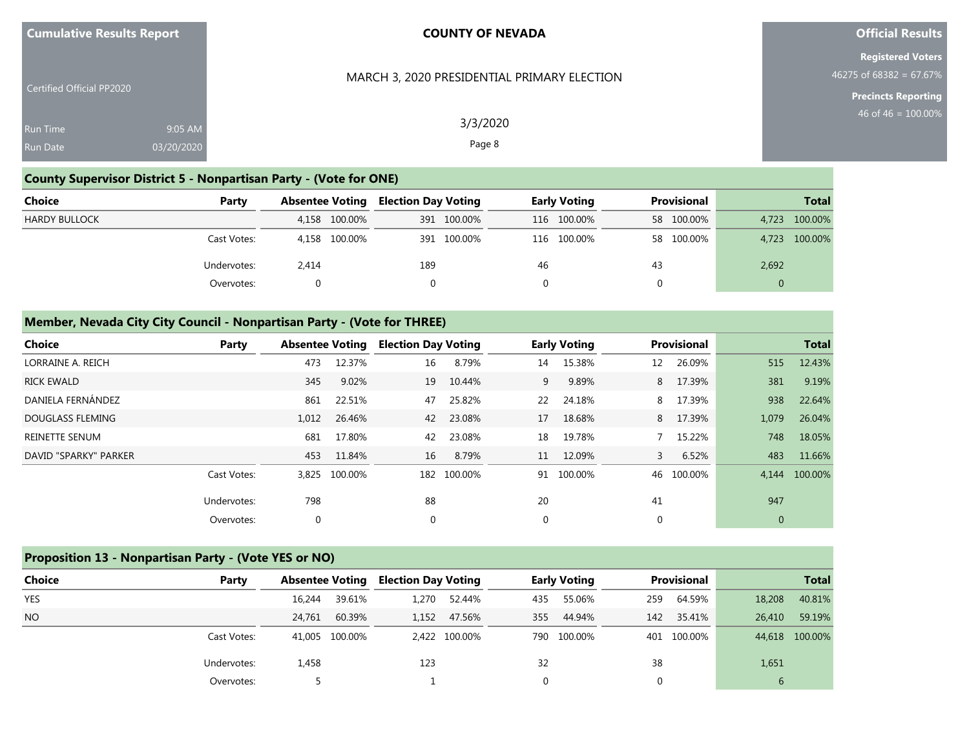| <b>Cumulative Results Report</b> |  |  |
|----------------------------------|--|--|
|----------------------------------|--|--|

## **Official Results**

**Registered Voters** 46275 of 68382 = 67.67%

> **Precincts Reporting** 46 of 46 = 100.00%

| <b>Certified Official PP2020</b> |            |
|----------------------------------|------------|
| Run Time                         | $9:05$ AM  |
| <b>Run Date</b>                  | 03/20/2020 |

MARCH 3, 2020 PRESIDENTIAL PRIMARY ELECTION

3/3/2020 Page 8

# **County Supervisor District 5 - Nonpartisan Party - (Vote for ONE)**

| <b>Choice</b>        | Party       | <b>Absentee Voting</b> | Election Day Voting | <b>Early Voting</b> | <b>Provisional</b> | <b>Total</b>  |
|----------------------|-------------|------------------------|---------------------|---------------------|--------------------|---------------|
| <b>HARDY BULLOCK</b> |             | 4,158 100.00%          | 391 100.00%         | 116 100.00%         | 58 100.00%         | 4,723 100.00% |
|                      | Cast Votes: | 4,158 100.00%          | 391 100.00%         | 116 100.00%         | 58 100.00%         | 4,723 100.00% |
|                      | Undervotes: | 2,414                  | 189                 | 46                  | 43                 | 2,692         |
|                      | Overvotes:  |                        |                     |                     | 0                  | 0             |

## **Member, Nevada City City Council - Nonpartisan Party - (Vote for THREE)**

| Choice                | Party       |       | <b>Absentee Voting</b> |          | <b>Election Day Voting</b> |    | <b>Early Voting</b> |    | Provisional |              | <b>Total</b>  |
|-----------------------|-------------|-------|------------------------|----------|----------------------------|----|---------------------|----|-------------|--------------|---------------|
| LORRAINE A. REICH     |             | 473   | 12.37%                 | 16       | 8.79%                      | 14 | 15.38%              | 12 | 26.09%      | 515          | 12.43%        |
| <b>RICK EWALD</b>     |             | 345   | 9.02%                  | 19       | 10.44%                     | 9  | 9.89%               |    | 8 17.39%    | 381          | 9.19%         |
| DANIELA FERNÁNDEZ     |             | 861   | 22.51%                 | 47       | 25.82%                     | 22 | 24.18%              | 8  | 17.39%      | 938          | 22.64%        |
| DOUGLASS FLEMING      |             | 1,012 | 26.46%                 | 42       | 23.08%                     | 17 | 18.68%              |    | 8 17.39%    | 1,079        | 26.04%        |
| <b>REINETTE SENUM</b> |             | 681   | 17.80%                 | 42       | 23.08%                     | 18 | 19.78%              |    | 7 15.22%    | 748          | 18.05%        |
| DAVID "SPARKY" PARKER |             | 453   | 11.84%                 | 16       | 8.79%                      | 11 | 12.09%              | 3  | 6.52%       | 483          | 11.66%        |
|                       | Cast Votes: | 3,825 | 100.00%                |          | 182 100.00%                |    | 91 100.00%          |    | 46 100.00%  |              | 4,144 100.00% |
|                       | Undervotes: | 798   |                        | 88       |                            | 20 |                     | 41 |             | 947          |               |
|                       | Overvotes:  | 0     |                        | $\Omega$ |                            | 0  |                     | 0  |             | $\mathbf{0}$ |               |

## **Proposition 13 - Nonpartisan Party - (Vote YES or NO)**

| <b>Choice</b> | Party       | <b>Absentee Voting</b> |                | <b>Election Day Voting</b> |               | <b>Early Voting</b> |             | <b>Provisional</b> |             | <b>Total</b> |                |
|---------------|-------------|------------------------|----------------|----------------------------|---------------|---------------------|-------------|--------------------|-------------|--------------|----------------|
| <b>YES</b>    |             | 16,244                 | 39.61%         | 1.270                      | 52.44%        | 435                 | 55.06%      | 259                | 64.59%      | 18,208       | 40.81%         |
| <b>NO</b>     |             | 24.761                 | 60.39%         |                            | 1,152 47.56%  | 355                 | 44.94%      | 142                | 35.41%      | 26,410       | 59.19%         |
|               | Cast Votes: |                        | 41,005 100,00% |                            | 2,422 100.00% |                     | 790 100.00% |                    | 401 100.00% |              | 44,618 100.00% |
|               | Undervotes: | 1,458                  |                | 123                        |               | 32                  |             | 38                 |             | 1,651        |                |
|               | Overvotes:  |                        |                |                            |               |                     |             | $\Omega$           |             | 6            |                |